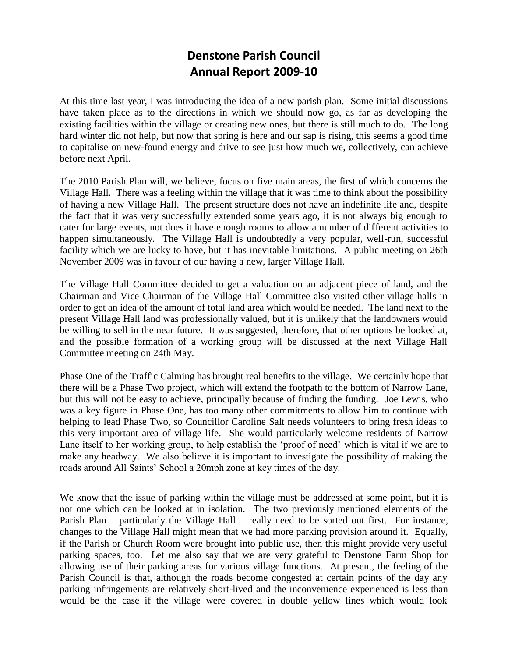# **Denstone Parish Council Annual Report 2009-10**

At this time last year, I was introducing the idea of a new parish plan. Some initial discussions have taken place as to the directions in which we should now go, as far as developing the existing facilities within the village or creating new ones, but there is still much to do. The long hard winter did not help, but now that spring is here and our sap is rising, this seems a good time to capitalise on new-found energy and drive to see just how much we, collectively, can achieve before next April.

The 2010 Parish Plan will, we believe, focus on five main areas, the first of which concerns the Village Hall. There was a feeling within the village that it was time to think about the possibility of having a new Village Hall. The present structure does not have an indefinite life and, despite the fact that it was very successfully extended some years ago, it is not always big enough to cater for large events, not does it have enough rooms to allow a number of different activities to happen simultaneously. The Village Hall is undoubtedly a very popular, well-run, successful facility which we are lucky to have, but it has inevitable limitations. A public meeting on 26th November 2009 was in favour of our having a new, larger Village Hall.

The Village Hall Committee decided to get a valuation on an adjacent piece of land, and the Chairman and Vice Chairman of the Village Hall Committee also visited other village halls in order to get an idea of the amount of total land area which would be needed. The land next to the present Village Hall land was professionally valued, but it is unlikely that the landowners would be willing to sell in the near future. It was suggested, therefore, that other options be looked at, and the possible formation of a working group will be discussed at the next Village Hall Committee meeting on 24th May.

Phase One of the Traffic Calming has brought real benefits to the village. We certainly hope that there will be a Phase Two project, which will extend the footpath to the bottom of Narrow Lane, but this will not be easy to achieve, principally because of finding the funding. Joe Lewis, who was a key figure in Phase One, has too many other commitments to allow him to continue with helping to lead Phase Two, so Councillor Caroline Salt needs volunteers to bring fresh ideas to this very important area of village life. She would particularly welcome residents of Narrow Lane itself to her working group, to help establish the 'proof of need' which is vital if we are to make any headway. We also believe it is important to investigate the possibility of making the roads around All Saints' School a 20mph zone at key times of the day.

We know that the issue of parking within the village must be addressed at some point, but it is not one which can be looked at in isolation. The two previously mentioned elements of the Parish Plan – particularly the Village Hall – really need to be sorted out first. For instance, changes to the Village Hall might mean that we had more parking provision around it. Equally, if the Parish or Church Room were brought into public use, then this might provide very useful parking spaces, too. Let me also say that we are very grateful to Denstone Farm Shop for allowing use of their parking areas for various village functions. At present, the feeling of the Parish Council is that, although the roads become congested at certain points of the day any parking infringements are relatively short-lived and the inconvenience experienced is less than would be the case if the village were covered in double yellow lines which would look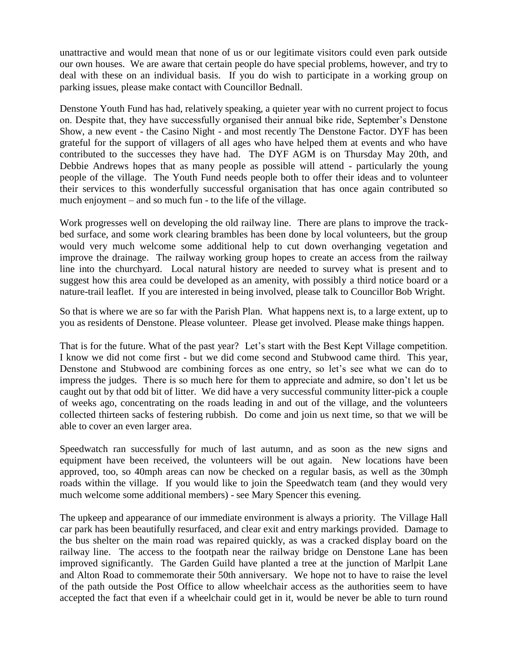unattractive and would mean that none of us or our legitimate visitors could even park outside our own houses. We are aware that certain people do have special problems, however, and try to deal with these on an individual basis. If you do wish to participate in a working group on parking issues, please make contact with Councillor Bednall.

Denstone Youth Fund has had, relatively speaking, a quieter year with no current project to focus on. Despite that, they have successfully organised their annual bike ride, September's Denstone Show, a new event - the Casino Night - and most recently The Denstone Factor. DYF has been grateful for the support of villagers of all ages who have helped them at events and who have contributed to the successes they have had. The DYF AGM is on Thursday May 20th, and Debbie Andrews hopes that as many people as possible will attend - particularly the young people of the village. The Youth Fund needs people both to offer their ideas and to volunteer their services to this wonderfully successful organisation that has once again contributed so much enjoyment – and so much fun - to the life of the village.

Work progresses well on developing the old railway line. There are plans to improve the trackbed surface, and some work clearing brambles has been done by local volunteers, but the group would very much welcome some additional help to cut down overhanging vegetation and improve the drainage. The railway working group hopes to create an access from the railway line into the churchyard. Local natural history are needed to survey what is present and to suggest how this area could be developed as an amenity, with possibly a third notice board or a nature-trail leaflet. If you are interested in being involved, please talk to Councillor Bob Wright.

So that is where we are so far with the Parish Plan. What happens next is, to a large extent, up to you as residents of Denstone. Please volunteer. Please get involved. Please make things happen.

That is for the future. What of the past year? Let's start with the Best Kept Village competition. I know we did not come first - but we did come second and Stubwood came third. This year, Denstone and Stubwood are combining forces as one entry, so let's see what we can do to impress the judges. There is so much here for them to appreciate and admire, so don't let us be caught out by that odd bit of litter. We did have a very successful community litter-pick a couple of weeks ago, concentrating on the roads leading in and out of the village, and the volunteers collected thirteen sacks of festering rubbish. Do come and join us next time, so that we will be able to cover an even larger area.

Speedwatch ran successfully for much of last autumn, and as soon as the new signs and equipment have been received, the volunteers will be out again. New locations have been approved, too, so 40mph areas can now be checked on a regular basis, as well as the 30mph roads within the village. If you would like to join the Speedwatch team (and they would very much welcome some additional members) - see Mary Spencer this evening.

The upkeep and appearance of our immediate environment is always a priority. The Village Hall car park has been beautifully resurfaced, and clear exit and entry markings provided. Damage to the bus shelter on the main road was repaired quickly, as was a cracked display board on the railway line. The access to the footpath near the railway bridge on Denstone Lane has been improved significantly. The Garden Guild have planted a tree at the junction of Marlpit Lane and Alton Road to commemorate their 50th anniversary. We hope not to have to raise the level of the path outside the Post Office to allow wheelchair access as the authorities seem to have accepted the fact that even if a wheelchair could get in it, would be never be able to turn round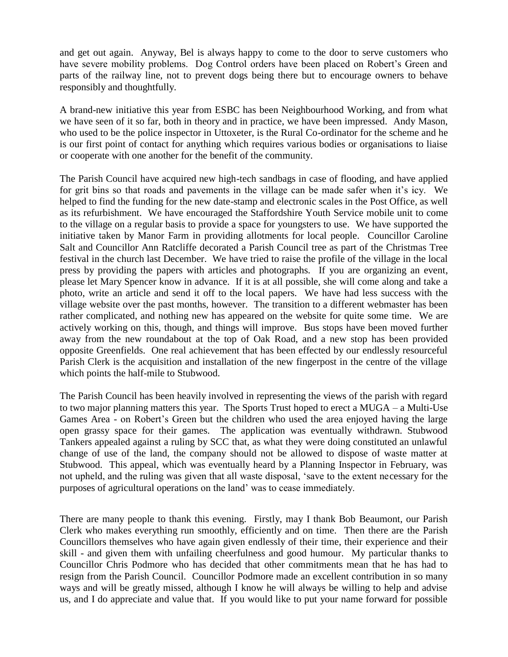and get out again. Anyway, Bel is always happy to come to the door to serve customers who have severe mobility problems. Dog Control orders have been placed on Robert's Green and parts of the railway line, not to prevent dogs being there but to encourage owners to behave responsibly and thoughtfully.

A brand-new initiative this year from ESBC has been Neighbourhood Working, and from what we have seen of it so far, both in theory and in practice, we have been impressed. Andy Mason, who used to be the police inspector in Uttoxeter, is the Rural Co-ordinator for the scheme and he is our first point of contact for anything which requires various bodies or organisations to liaise or cooperate with one another for the benefit of the community.

The Parish Council have acquired new high-tech sandbags in case of flooding, and have applied for grit bins so that roads and pavements in the village can be made safer when it's icy. We helped to find the funding for the new date-stamp and electronic scales in the Post Office, as well as its refurbishment. We have encouraged the Staffordshire Youth Service mobile unit to come to the village on a regular basis to provide a space for youngsters to use. We have supported the initiative taken by Manor Farm in providing allotments for local people. Councillor Caroline Salt and Councillor Ann Ratcliffe decorated a Parish Council tree as part of the Christmas Tree festival in the church last December. We have tried to raise the profile of the village in the local press by providing the papers with articles and photographs. If you are organizing an event, please let Mary Spencer know in advance. If it is at all possible, she will come along and take a photo, write an article and send it off to the local papers. We have had less success with the village website over the past months, however. The transition to a different webmaster has been rather complicated, and nothing new has appeared on the website for quite some time. We are actively working on this, though, and things will improve. Bus stops have been moved further away from the new roundabout at the top of Oak Road, and a new stop has been provided opposite Greenfields. One real achievement that has been effected by our endlessly resourceful Parish Clerk is the acquisition and installation of the new fingerpost in the centre of the village which points the half-mile to Stubwood.

The Parish Council has been heavily involved in representing the views of the parish with regard to two major planning matters this year. The Sports Trust hoped to erect a MUGA – a Multi-Use Games Area - on Robert's Green but the children who used the area enjoyed having the large open grassy space for their games. The application was eventually withdrawn. Stubwood Tankers appealed against a ruling by SCC that, as what they were doing constituted an unlawful change of use of the land, the company should not be allowed to dispose of waste matter at Stubwood. This appeal, which was eventually heard by a Planning Inspector in February, was not upheld, and the ruling was given that all waste disposal, 'save to the extent necessary for the purposes of agricultural operations on the land' was to cease immediately.

There are many people to thank this evening. Firstly, may I thank Bob Beaumont, our Parish Clerk who makes everything run smoothly, efficiently and on time. Then there are the Parish Councillors themselves who have again given endlessly of their time, their experience and their skill - and given them with unfailing cheerfulness and good humour. My particular thanks to Councillor Chris Podmore who has decided that other commitments mean that he has had to resign from the Parish Council. Councillor Podmore made an excellent contribution in so many ways and will be greatly missed, although I know he will always be willing to help and advise us, and I do appreciate and value that. If you would like to put your name forward for possible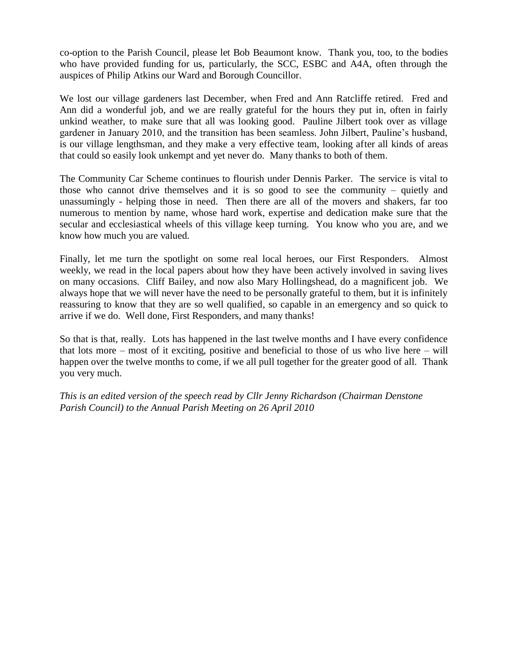co-option to the Parish Council, please let Bob Beaumont know. Thank you, too, to the bodies who have provided funding for us, particularly, the SCC, ESBC and A4A, often through the auspices of Philip Atkins our Ward and Borough Councillor.

We lost our village gardeners last December, when Fred and Ann Ratcliffe retired. Fred and Ann did a wonderful job, and we are really grateful for the hours they put in, often in fairly unkind weather, to make sure that all was looking good. Pauline Jilbert took over as village gardener in January 2010, and the transition has been seamless. John Jilbert, Pauline's husband, is our village lengthsman, and they make a very effective team, looking after all kinds of areas that could so easily look unkempt and yet never do. Many thanks to both of them.

The Community Car Scheme continues to flourish under Dennis Parker. The service is vital to those who cannot drive themselves and it is so good to see the community – quietly and unassumingly - helping those in need. Then there are all of the movers and shakers, far too numerous to mention by name, whose hard work, expertise and dedication make sure that the secular and ecclesiastical wheels of this village keep turning. You know who you are, and we know how much you are valued.

Finally, let me turn the spotlight on some real local heroes, our First Responders. Almost weekly, we read in the local papers about how they have been actively involved in saving lives on many occasions. Cliff Bailey, and now also Mary Hollingshead, do a magnificent job. We always hope that we will never have the need to be personally grateful to them, but it is infinitely reassuring to know that they are so well qualified, so capable in an emergency and so quick to arrive if we do. Well done, First Responders, and many thanks!

So that is that, really. Lots has happened in the last twelve months and I have every confidence that lots more – most of it exciting, positive and beneficial to those of us who live here – will happen over the twelve months to come, if we all pull together for the greater good of all. Thank you very much.

*This is an edited version of the speech read by Cllr Jenny Richardson (Chairman Denstone Parish Council) to the Annual Parish Meeting on 26 April 2010*